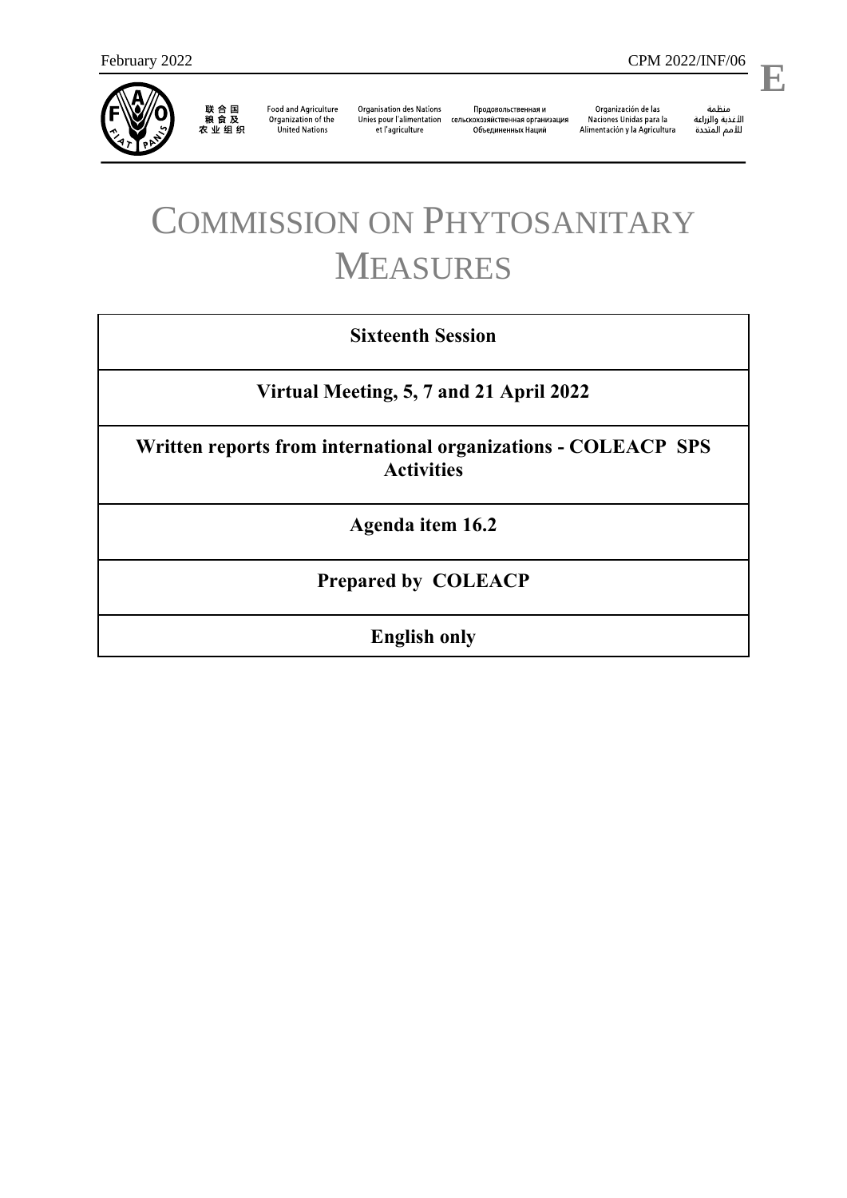

联 合 国<br>粮 食 及<br>农 业 组 织

**Food and Agriculture** Organization of the **United Nations** 

**Organisation des Nations** et l'agriculture

Продовольственная и Unies pour l'alimentation сельскохозяйственная организация Объединенных Наций

Organización de las Naciones Unidas para la Alimentación y la Agricultura

منظمة ستنسه<br>الأغذية والزراعة<br>للأمم المتددة

l,

# COMMISSION ON PHYTOSANITARY MEASURES

### **Sixteenth Session**

## **Virtual Meeting, 5, 7 and 21 April 2022**

**Written reports from international organizations - COLEACP SPS Activities**

**Agenda item 16.2**

## **Prepared by COLEACP**

**English only**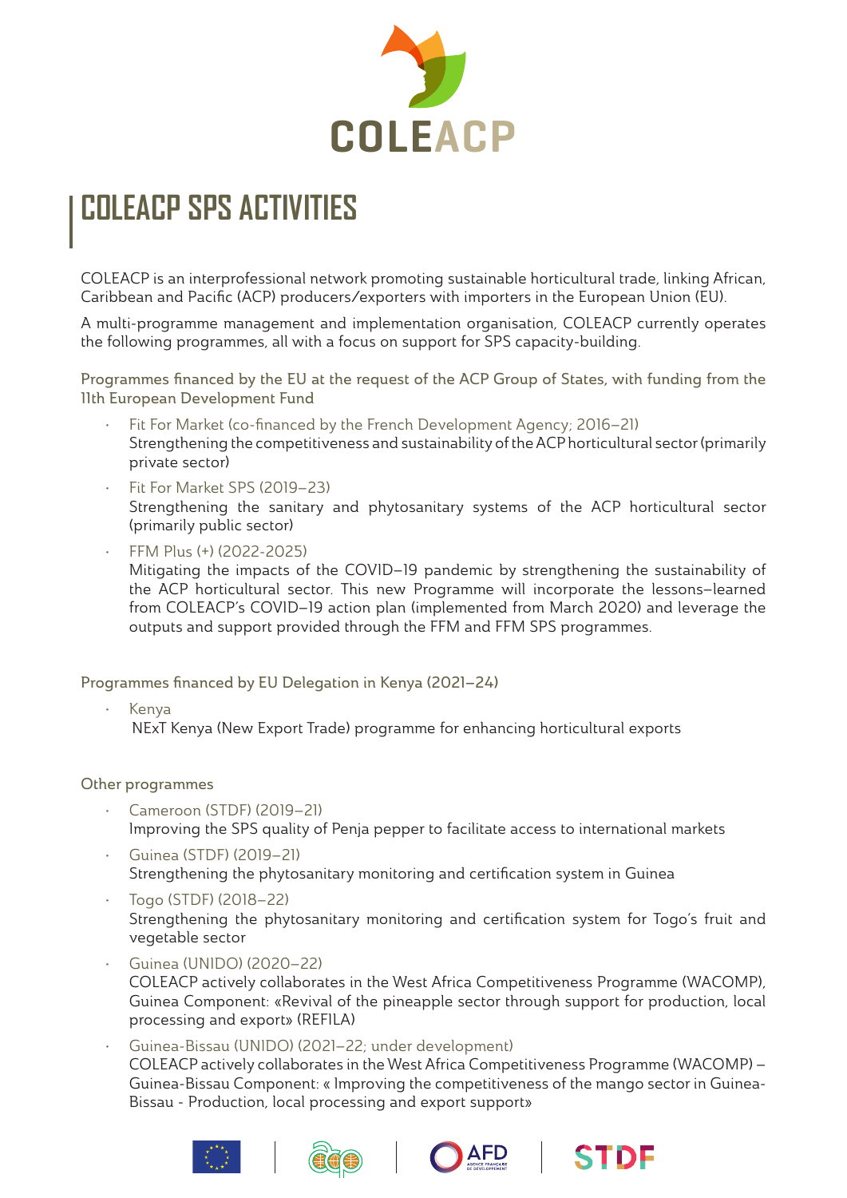

# **COLEACP SPS ACTIVITIES**

COLEACP is an interprofessional network promoting sustainable horticultural trade, linking African, Caribbean and Pacific (ACP) producers/exporters with importers in the European Union (EU).

A multi-programme management and implementation organisation, COLEACP currently operates the following programmes, all with a focus on support for SPS capacity-building.

Programmes financed by the EU at the request of the ACP Group of States, with funding from the 11th European Development Fund

- Fit For Market (co-financed by the French Development Agency; 2016–21) Strengthening the competitiveness and sustainability of the ACP horticultural sector (primarily private sector)
- Fit For Market SPS (2019–23) Strengthening the sanitary and phytosanitary systems of the ACP horticultural sector (primarily public sector)
- FFM Plus (+) (2022-2025) Mitigating the impacts of the COVID–19 pandemic by strengthening the sustainability of the ACP horticultural sector. This new Programme will incorporate the lessons–learned from COLEACP's COVID–19 action plan (implemented from March 2020) and leverage the outputs and support provided through the FFM and FFM SPS programmes.

Programmes financed by EU Delegation in Kenya (2021–24)

• Kenya NExT Kenya (New Export Trade) programme for enhancing horticultural exports

Other programmes

- Cameroon (STDF) (2019–21) Improving the SPS quality of Penja pepper to facilitate access to international markets
- Guinea (STDF) (2019–21) Strengthening the phytosanitary monitoring and certification system in Guinea
- Togo (STDF) (2018–22) Strengthening the phytosanitary monitoring and certification system for Togo's fruit and vegetable sector
- Guinea (UNIDO) (2020–22) COLEACP actively collaborates in the West Africa Competitiveness Programme (WACOMP), Guinea Component: «Revival of the pineapple sector through support for production, local processing and export» (REFILA)
- Guinea-Bissau (UNIDO) (2021–22; under development) COLEACP actively collaborates in the West Africa Competitiveness Programme (WACOMP) – Guinea-Bissau Component: « Improving the competitiveness of the mango sector in Guinea-Bissau - Production, local processing and export support»







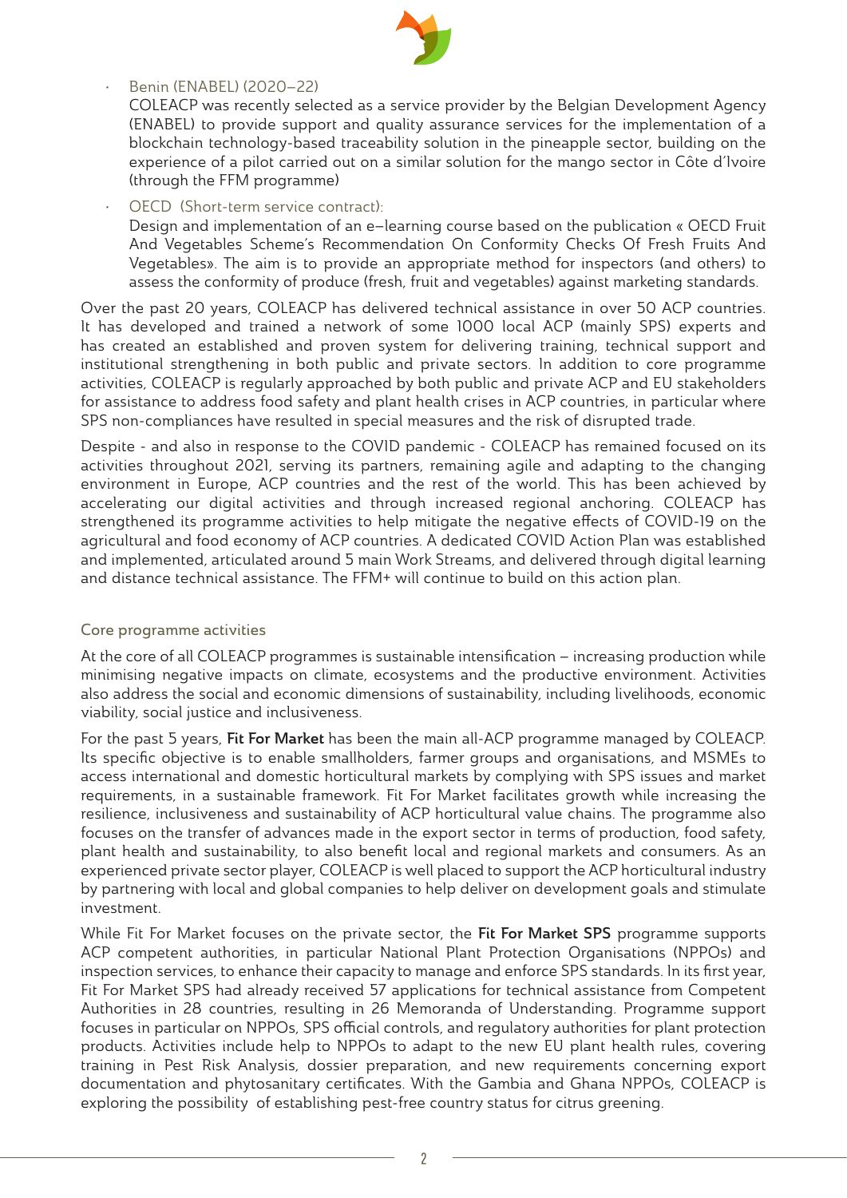

#### • Benin (ENABEL) (2020–22)

COLEACP was recently selected as a service provider by the Belgian Development Agency (ENABEL) to provide support and quality assurance services for the implementation of a blockchain technology-based traceability solution in the pineapple sector, building on the experience of a pilot carried out on a similar solution for the mango sector in Côte d'Ivoire (through the FFM programme)

OECD (Short-term service contract):

Design and implementation of an e–learning course based on the publication « OECD Fruit And Vegetables Scheme's Recommendation On Conformity Checks Of Fresh Fruits And Vegetables». The aim is to provide an appropriate method for inspectors (and others) to assess the conformity of produce (fresh, fruit and vegetables) against marketing standards.

Over the past 20 years, COLEACP has delivered technical assistance in over 50 ACP countries. It has developed and trained a network of some 1000 local ACP (mainly SPS) experts and has created an established and proven system for delivering training, technical support and institutional strengthening in both public and private sectors. In addition to core programme activities, COLEACP is regularly approached by both public and private ACP and EU stakeholders for assistance to address food safety and plant health crises in ACP countries, in particular where SPS non-compliances have resulted in special measures and the risk of disrupted trade.

Despite - and also in response to the COVID pandemic - COLEACP has remained focused on its activities throughout 2021, serving its partners, remaining agile and adapting to the changing environment in Europe, ACP countries and the rest of the world. This has been achieved by accelerating our digital activities and through increased regional anchoring. COLEACP has strengthened its programme activities to help mitigate the negative effects of COVID-19 on the agricultural and food economy of ACP countries. A dedicated COVID Action Plan was established and implemented, articulated around 5 main Work Streams, and delivered through digital learning and distance technical assistance. The FFM+ will continue to build on this action plan.

#### Core programme activities

At the core of all COLEACP programmes is sustainable intensification – increasing production while minimising negative impacts on climate, ecosystems and the productive environment. Activities also address the social and economic dimensions of sustainability, including livelihoods, economic viability, social justice and inclusiveness.

For the past 5 years, Fit For Market has been the main all-ACP programme managed by COLEACP. Its specific objective is to enable smallholders, farmer groups and organisations, and MSMEs to access international and domestic horticultural markets by complying with SPS issues and market requirements, in a sustainable framework. Fit For Market facilitates growth while increasing the resilience, inclusiveness and sustainability of ACP horticultural value chains. The programme also focuses on the transfer of advances made in the export sector in terms of production, food safety, plant health and sustainability, to also benefit local and regional markets and consumers. As an experienced private sector player, COLEACP is well placed to support the ACP horticultural industry by partnering with local and global companies to help deliver on development goals and stimulate investment.

While Fit For Market focuses on the private sector, the Fit For Market SPS programme supports ACP competent authorities, in particular National Plant Protection Organisations (NPPOs) and inspection services, to enhance their capacity to manage and enforce SPS standards. In its first year, Fit For Market SPS had already received 57 applications for technical assistance from Competent Authorities in 28 countries, resulting in 26 Memoranda of Understanding. Programme support focuses in particular on NPPOs, SPS official controls, and regulatory authorities for plant protection products. Activities include help to NPPOs to adapt to the new EU plant health rules, covering training in Pest Risk Analysis, dossier preparation, and new requirements concerning export documentation and phytosanitary certificates. With the Gambia and Ghana NPPOs, COLEACP is exploring the possibility of establishing pest-free country status for citrus greening.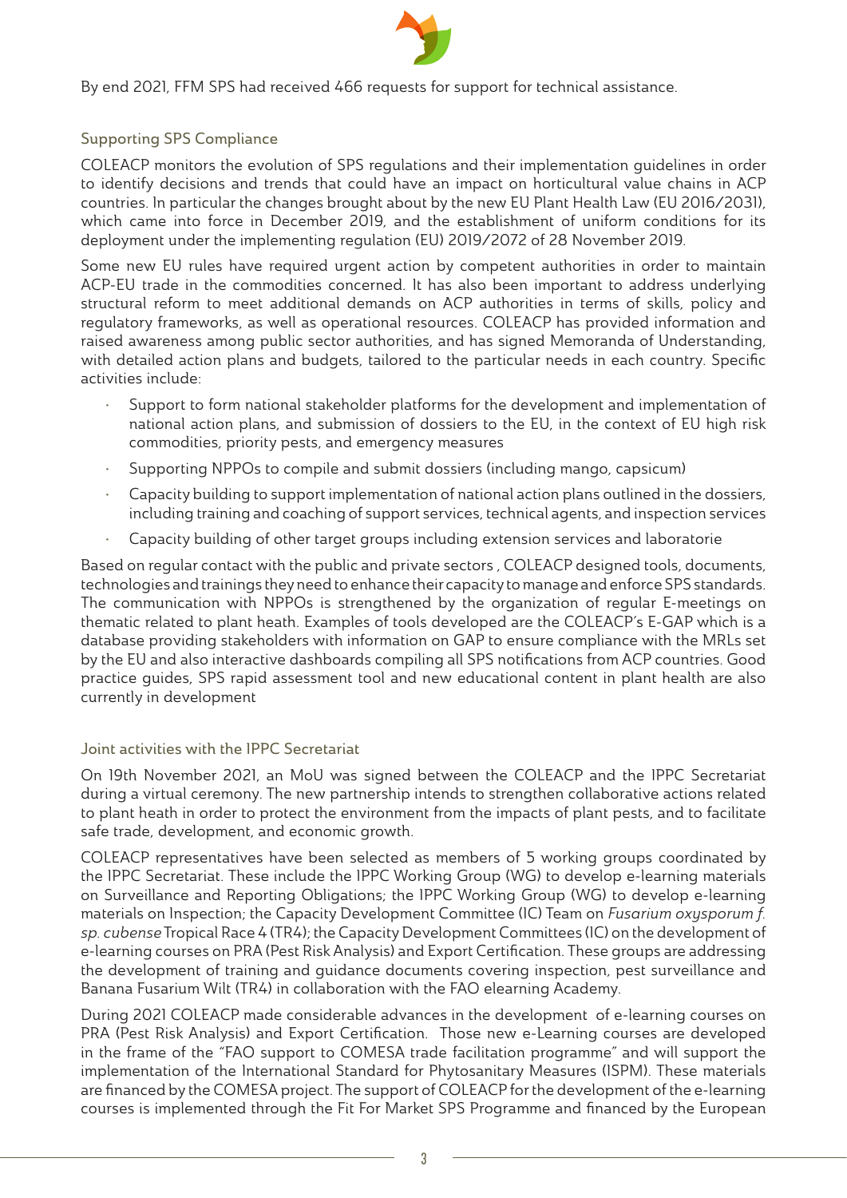

By end 2021, FFM SPS had received 466 requests for support for technical assistance.

#### Supporting SPS Compliance

COLEACP monitors the evolution of SPS regulations and their implementation guidelines in order to identify decisions and trends that could have an impact on horticultural value chains in ACP countries. In particular the changes brought about by the new EU Plant Health Law (EU 2016/2031), which came into force in December 2019, and the establishment of uniform conditions for its deployment under the implementing regulation (EU) 2019/2072 of 28 November 2019.

Some new EU rules have required urgent action by competent authorities in order to maintain ACP-EU trade in the commodities concerned. It has also been important to address underlying structural reform to meet additional demands on ACP authorities in terms of skills, policy and regulatory frameworks, as well as operational resources. COLEACP has provided information and raised awareness among public sector authorities, and has signed Memoranda of Understanding, with detailed action plans and budgets, tailored to the particular needs in each country. Specific activities include:

- Support to form national stakeholder platforms for the development and implementation of national action plans, and submission of dossiers to the EU, in the context of EU high risk commodities, priority pests, and emergency measures
- Supporting NPPOs to compile and submit dossiers (including mango, capsicum)
- Capacity building to support implementation of national action plans outlined in the dossiers, including training and coaching of support services, technical agents, and inspection services
- Capacity building of other target groups including extension services and laboratorie

Based on regular contact with the public and private sectors , COLEACP designed tools, documents, technologies and trainings they need to enhance their capacity to manage and enforce SPS standards. The communication with NPPOs is strengthened by the organization of regular E-meetings on thematic related to plant heath. Examples of tools developed are the COLEACP's E-GAP which is a database providing stakeholders with information on GAP to ensure compliance with the MRLs set by the EU and also interactive dashboards compiling all SPS notifications from ACP countries. Good practice guides, SPS rapid assessment tool and new educational content in plant health are also currently in development

#### Joint activities with the IPPC Secretariat

On 19th November 2021, an MoU was signed between the COLEACP and the IPPC Secretariat during a virtual ceremony. The new partnership intends to strengthen collaborative actions related to plant heath in order to protect the environment from the impacts of plant pests, and to facilitate safe trade, development, and economic growth.

COLEACP representatives have been selected as members of 5 working groups coordinated by the IPPC Secretariat. These include the IPPC Working Group (WG) to develop e-learning materials on Surveillance and Reporting Obligations; the IPPC Working Group (WG) to develop e-learning materials on Inspection; the Capacity Development Committee (IC) Team on Fusarium oxysporum f. sp. cubense Tropical Race 4 (TR4); the Capacity Development Committees (IC) on the development of e-learning courses on PRA (Pest Risk Analysis) and Export Certification. These groups are addressing the development of training and guidance documents covering inspection, pest surveillance and Banana Fusarium Wilt (TR4) in collaboration with the FAO elearning Academy.

During 2021 COLEACP made considerable advances in the development of e-learning courses on PRA (Pest Risk Analysis) and Export Certification. Those new e-Learning courses are developed in the frame of the "FAO support to COMESA trade facilitation programme" and will support the implementation of the International Standard for Phytosanitary Measures (ISPM). These materials are financed by the COMESA project. The support of COLEACP for the development of the e-learning courses is implemented through the Fit For Market SPS Programme and financed by the European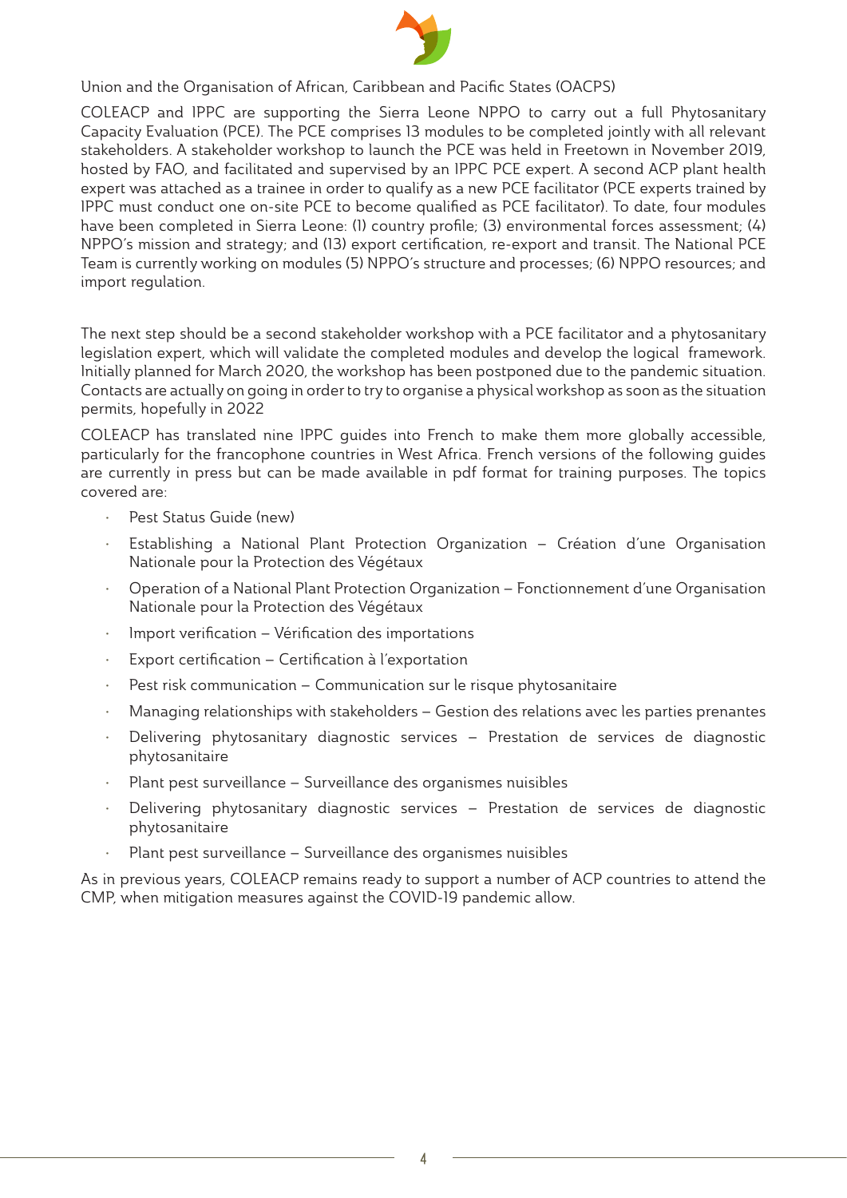

# Union and the Organisation of African, Caribbean and Pacific States (OACPS)

COLEACP and IPPC are supporting the Sierra Leone NPPO to carry out a full Phytosanitary Capacity Evaluation (PCE). The PCE comprises 13 modules to be completed jointly with all relevant stakeholders. A stakeholder workshop to launch the PCE was held in Freetown in November 2019, hosted by FAO, and facilitated and supervised by an IPPC PCE expert. A second ACP plant health expert was attached as a trainee in order to qualify as a new PCE facilitator (PCE experts trained by IPPC must conduct one on-site PCE to become qualified as PCE facilitator). To date, four modules have been completed in Sierra Leone: (1) country profile; (3) environmental forces assessment; (4) NPPO's mission and strategy; and (13) export certification, re-export and transit. The National PCE Team is currently working on modules (5) NPPO's structure and processes; (6) NPPO resources; and import regulation.

The next step should be a second stakeholder workshop with a PCE facilitator and a phytosanitary legislation expert, which will validate the completed modules and develop the logical framework. Initially planned for March 2020, the workshop has been postponed due to the pandemic situation. Contacts are actually on going in order to try to organise a physical workshop as soon as the situation permits, hopefully in 2022

COLEACP has translated nine IPPC guides into French to make them more globally accessible, particularly for the francophone countries in West Africa. French versions of the following guides are currently in press but can be made available in pdf format for training purposes. The topics covered are:

- Pest Status Guide (new)
- Establishing a National Plant Protection Organization Création d'une Organisation Nationale pour la Protection des Végétaux
- Operation of a National Plant Protection Organization Fonctionnement d'une Organisation Nationale pour la Protection des Végétaux
- Import verification Vérification des importations
- Export certification Certification à l'exportation
- Pest risk communication Communication sur le risque phytosanitaire
- Managing relationships with stakeholders Gestion des relations avec les parties prenantes
- Delivering phytosanitary diagnostic services Prestation de services de diagnostic phytosanitaire
- Plant pest surveillance Surveillance des organismes nuisibles
- Delivering phytosanitary diagnostic services Prestation de services de diagnostic phytosanitaire
- Plant pest surveillance Surveillance des organismes nuisibles

As in previous years, COLEACP remains ready to support a number of ACP countries to attend the CMP, when mitigation measures against the COVID-19 pandemic allow.